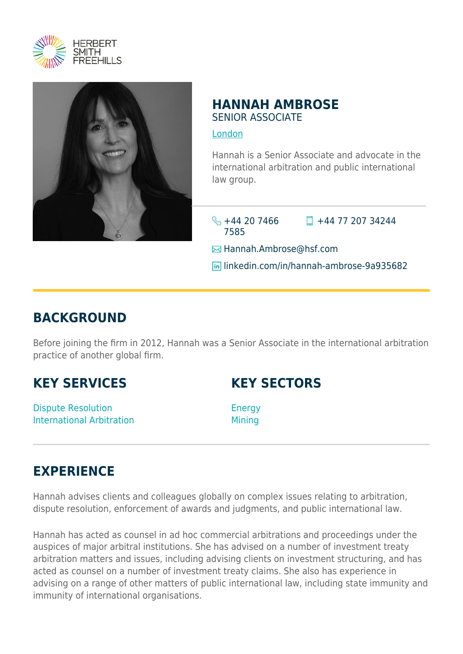



### **HANNAH AMBROSE** SENIOR ASSOCIATE

[London](https://www.herbertsmithfreehills.com/lang-es/where-we-work/london)

Hannah is a Senior Associate and advocate in the international arbitration and public international law group.

 $\frac{1}{2}$  +44 20 7466 7585

 $\Box$  +44 77 207 34244

**E**Hannah.Ambrose@hsf.com

**lin** linkedin.com/in/hannah-ambrose-9a935682

## **BACKGROUND**

Before joining the firm in 2012, Hannah was a Senior Associate in the international arbitration practice of another global firm.

### **KEY SERVICES**

Dispute Resolution International Arbitration **KEY SECTORS**

Energy Mining

# **EXPERIENCE**

Hannah advises clients and colleagues globally on complex issues relating to arbitration, dispute resolution, enforcement of awards and judgments, and public international law.

Hannah has acted as counsel in ad hoc commercial arbitrations and proceedings under the auspices of major arbitral institutions. She has advised on a number of investment treaty arbitration matters and issues, including advising clients on investment structuring, and has acted as counsel on a number of investment treaty claims. She also has experience in advising on a range of other matters of public international law, including state immunity and immunity of international organisations.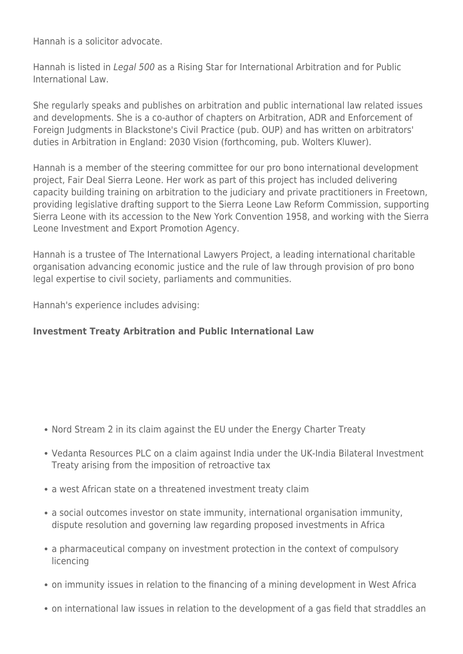Hannah is a solicitor advocate.

Hannah is listed in Legal 500 as a Rising Star for International Arbitration and for Public International Law.

She regularly speaks and publishes on arbitration and public international law related issues and developments. She is a co-author of chapters on Arbitration, ADR and Enforcement of Foreign Judgments in Blackstone's Civil Practice (pub. OUP) and has written on arbitrators' duties in Arbitration in England: 2030 Vision (forthcoming, pub. Wolters Kluwer).

Hannah is a member of the steering committee for our pro bono international development project, Fair Deal Sierra Leone. Her work as part of this project has included delivering capacity building training on arbitration to the judiciary and private practitioners in Freetown, providing legislative drafting support to the Sierra Leone Law Reform Commission, supporting Sierra Leone with its accession to the New York Convention 1958, and working with the Sierra Leone Investment and Export Promotion Agency.

Hannah is a trustee of The International Lawyers Project, a leading international charitable organisation advancing economic justice and the rule of law through provision of pro bono legal expertise to civil society, parliaments and communities.

Hannah's experience includes advising:

#### **Investment Treaty Arbitration and Public International Law**

- Nord Stream 2 in its claim against the EU under the Energy Charter Treaty
- Vedanta Resources PLC on a claim against India under the UK-India Bilateral Investment Treaty arising from the imposition of retroactive tax
- a west African state on a threatened investment treaty claim
- a social outcomes investor on state immunity, international organisation immunity, dispute resolution and governing law regarding proposed investments in Africa
- a pharmaceutical company on investment protection in the context of compulsory licencing
- on immunity issues in relation to the financing of a mining development in West Africa
- on international law issues in relation to the development of a gas field that straddles an